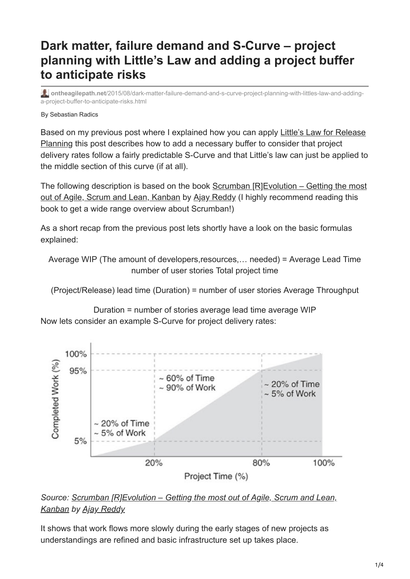# **Dark matter, failure demand and S-Curve – project planning with Little's Law and adding a project buffer to anticipate risks**

**ontheagilepath.net**[/2015/08/dark-matter-failure-demand-and-s-curve-project-planning-with-littles-law-and-adding](https://www.ontheagilepath.net/2015/08/dark-matter-failure-demand-and-s-curve-project-planning-with-littles-law-and-adding-a-project-buffer-to-anticipate-risks.html)a-project-buffer-to-anticipate-risks.html

#### By Sebastian Radics

[Based on my previous post where I explained how you can apply Little's Law for Release](http://www.ontheagilepath.net/2015/08/release-planning-using-great-extension.html) Planning this post describes how to add a necessary buffer to consider that project delivery rates follow a fairly predictable S-Curve and that Little's law can just be applied to the middle section of this curve (if at all).

[The following description is based on the book Scrumban \[R\]Evolution – Getting the most](http://www.informit.com/store/scrumban-revolution-getting-the-most-out-of-agile-scrum-9780134086217) out of Agile, Scrum and Lean, Kanban by [Ajay Reddy](https://www.linkedin.com/profile/in/ajaygreddy) (I highly recommend reading this book to get a wide range overview about Scrumban!)

As a short recap from the previous post lets shortly have a look on the basic formulas explained:

Average WIP (The amount of developers,resources,… needed) = Average Lead Time number of user stories Total project time

(Project/Release) lead time (Duration) = number of user stories Average Throughput

Duration = number of stories average lead time average WIP Now lets consider an example S-Curve for project delivery rates:



## *[Source: Scrumban \[R\]Evolution – Getting the most out of Agile, Scrum and Lean,](http://www.informit.com/store/scrumban-revolution-getting-the-most-out-of-agile-scrum-9780134086217) Kanban by [Ajay Reddy](https://www.linkedin.com/profile/in/ajaygreddy)*

It shows that work flows more slowly during the early stages of new projects as understandings are refined and basic infrastructure set up takes place.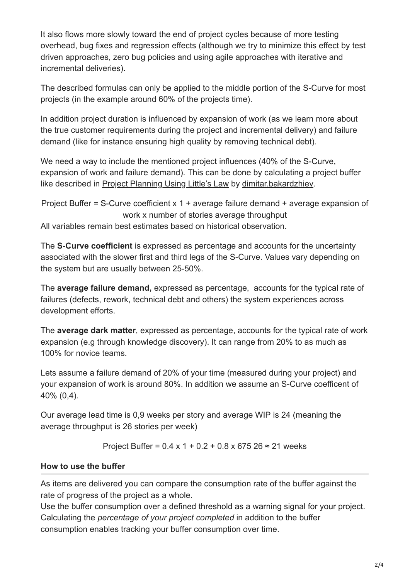It also flows more slowly toward the end of project cycles because of more testing overhead, bug fixes and regression effects (although we try to minimize this effect by test driven approaches, zero bug policies and using agile approaches with iterative and incremental deliveries).

The described formulas can only be applied to the middle portion of the S-Curve for most projects (in the example around 60% of the projects time).

In addition project duration is influenced by expansion of work (as we learn more about the true customer requirements during the project and incremental delivery) and failure demand (like for instance ensuring high quality by removing technical debt).

We need a way to include the mentioned project influences (40% of the S-Curve, expansion of work and failure demand). This can be done by calculating a project buffer like described in [Project Planning Using Little's Law](https://www.scribd.com/doc/193328241/Project-Planning-Using-Little-s-Law) by [dimitar.bakardzhiev](https://www.scribd.com/dimitar.bakardzhiev).

Project Buffer = S-Curve coefficient x 1 + average failure demand + average expansion of work x number of stories average throughput

All variables remain best estimates based on historical observation.

The **S-Curve coefficient** is expressed as percentage and accounts for the uncertainty associated with the slower first and third legs of the S-Curve. Values vary depending on the system but are usually between 25-50%.

The **average failure demand,** expressed as percentage, accounts for the typical rate of failures (defects, rework, technical debt and others) the system experiences across development efforts.

The **average dark matter**, expressed as percentage, accounts for the typical rate of work expansion (e.g through knowledge discovery). It can range from 20% to as much as 100% for novice teams.

Lets assume a failure demand of 20% of your time (measured during your project) and your expansion of work is around 80%. In addition we assume an S-Curve coefficent of 40% (0,4).

Our average lead time is 0,9 weeks per story and average WIP is 24 (meaning the average throughput is 26 stories per week)

Project Buffer =  $0.4 \times 1 + 0.2 + 0.8 \times 675$  26 ≈ 21 weeks

## **How to use the buffer**

As items are delivered you can compare the consumption rate of the buffer against the rate of progress of the project as a whole.

Use the buffer consumption over a defined threshold as a warning signal for your project. Calculating the *percentage of your project completed* in addition to the buffer consumption enables tracking your buffer consumption over time.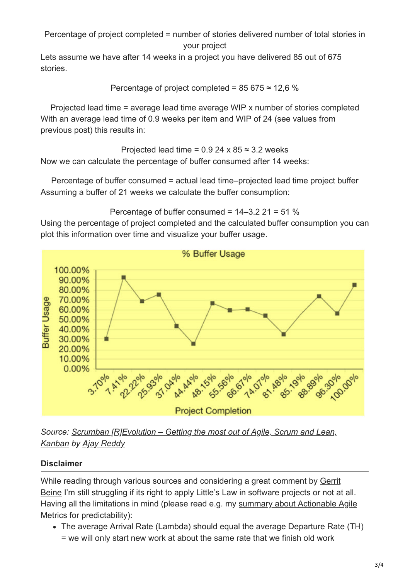Percentage of project completed = number of stories delivered number of total stories in your project

Lets assume we have after 14 weeks in a project you have delivered 85 out of 675 stories.

Percentage of project completed = 
$$
85\,675 \approx 12.6\%
$$

Projected lead time = average lead time average WIP x number of stories completed With an average lead time of 0.9 weeks per item and WIP of 24 (see values from previous post) this results in:

Projected lead time =  $0.924 \times 85 \approx 3.2$  weeks Now we can calculate the percentage of buffer consumed after 14 weeks:

Percentage of buffer consumed = actual lead time–projected lead time project buffer Assuming a buffer of 21 weeks we calculate the buffer consumption:

Percentage of buffer consumed = 14–3.2 21 = 51 %

Using the percentage of project completed and the calculated buffer consumption you can plot this information over time and visualize your buffer usage.



*[Source: Scrumban \[R\]Evolution – Getting the most out of Agile, Scrum and Lean,](http://www.informit.com/store/scrumban-revolution-getting-the-most-out-of-agile-scrum-9780134086217) Kanban by [Ajay Reddy](https://www.linkedin.com/profile/in/ajaygreddy)*

## **Disclaimer**

[While reading through various sources and considering a great comment by Gerrit](https://gerritbeine.com/) Beine I'm still struggling if its right to apply Little's Law in software projects or not at all. [Having all the limitations in mind \(please read e.g. my summary about Actionable Agile](http://www.ontheagilepath.net/2015/04/unleash-predictability-by-using.html) Metrics for predictability):

The average Arrival Rate (Lambda) should equal the average Departure Rate (TH) = we will only start new work at about the same rate that we finish old work